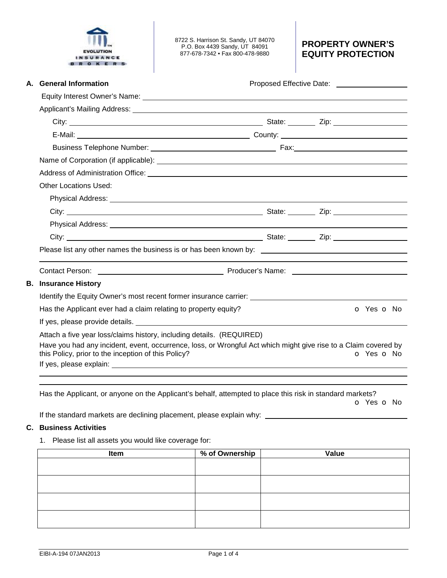

8722 S. Harrison St. Sandy, UT 84070 P.O. Box 4439 Sandy, UT 84091 877-678-7342 • Fax 800-478-9880

## **PROPERTY OWNER'S EQUITY PROTECTION**

| А. | <b>General Information</b>                                                                                                                                                                                                     | Proposed Effective Date: ____________________ |            |  |  |  |
|----|--------------------------------------------------------------------------------------------------------------------------------------------------------------------------------------------------------------------------------|-----------------------------------------------|------------|--|--|--|
|    |                                                                                                                                                                                                                                |                                               |            |  |  |  |
|    |                                                                                                                                                                                                                                |                                               |            |  |  |  |
|    |                                                                                                                                                                                                                                |                                               |            |  |  |  |
|    |                                                                                                                                                                                                                                |                                               |            |  |  |  |
|    |                                                                                                                                                                                                                                |                                               |            |  |  |  |
|    |                                                                                                                                                                                                                                |                                               |            |  |  |  |
|    | Address of Administration Office: <b>According to Address and Address of Administration Office:</b>                                                                                                                            |                                               |            |  |  |  |
|    | <b>Other Locations Used:</b>                                                                                                                                                                                                   |                                               |            |  |  |  |
|    |                                                                                                                                                                                                                                |                                               |            |  |  |  |
|    |                                                                                                                                                                                                                                |                                               |            |  |  |  |
|    |                                                                                                                                                                                                                                |                                               |            |  |  |  |
|    |                                                                                                                                                                                                                                |                                               |            |  |  |  |
|    |                                                                                                                                                                                                                                |                                               |            |  |  |  |
|    | Contact Person: National Contract Person: National Contract Person: National Contract Person: National Contract Person: National Contract Person: National Contract Person: National Contract Person: National Contract Person |                                               |            |  |  |  |
|    | <b>B.</b> Insurance History                                                                                                                                                                                                    |                                               |            |  |  |  |
|    | Identify the Equity Owner's most recent former insurance carrier: __________________________________                                                                                                                           |                                               |            |  |  |  |
|    | Has the Applicant ever had a claim relating to property equity?                                                                                                                                                                |                                               | O Yes O No |  |  |  |
|    |                                                                                                                                                                                                                                |                                               |            |  |  |  |
|    | Attach a five year loss/claims history, including details. (REQUIRED)                                                                                                                                                          |                                               |            |  |  |  |
|    | Have you had any incident, event, occurrence, loss, or Wrongful Act which might give rise to a Claim covered by<br>this Policy, prior to the inception of this Policy?                                                         |                                               | O Yes O No |  |  |  |
|    |                                                                                                                                                                                                                                |                                               |            |  |  |  |

Has the Applicant, or anyone on the Applicant's behalf, attempted to place this risk in standard markets?

o Yes o No

If the standard markets are declining placement, please explain why: \_

## **C. Business Activities**

1. Please list all assets you would like coverage for:

| Item | % of Ownership | Value |
|------|----------------|-------|
|      |                |       |
|      |                |       |
|      |                |       |
|      |                |       |
|      |                |       |
|      |                |       |
|      |                |       |
|      |                |       |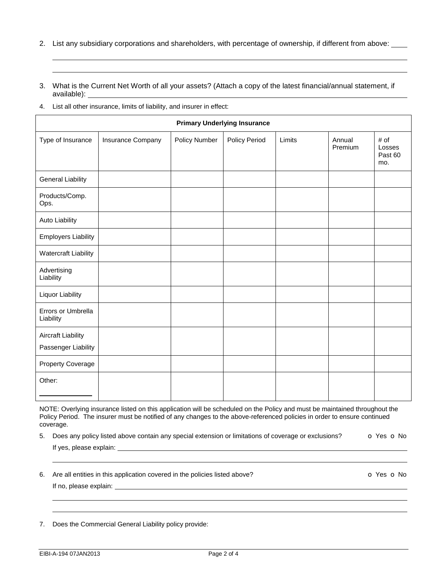- 2. List any subsidiary corporations and shareholders, with percentage of ownership, if different from above:
- 3. What is the Current Net Worth of all your assets? (Attach a copy of the latest financial/annual statement, if available):
- 4. List all other insurance, limits of liability, and insurer in effect:

 

| <b>Primary Underlying Insurance</b>              |                   |               |               |        |                   |                                  |
|--------------------------------------------------|-------------------|---------------|---------------|--------|-------------------|----------------------------------|
| Type of Insurance                                | Insurance Company | Policy Number | Policy Period | Limits | Annual<br>Premium | # of<br>Losses<br>Past 60<br>mo. |
| <b>General Liability</b>                         |                   |               |               |        |                   |                                  |
| Products/Comp.<br>Ops.                           |                   |               |               |        |                   |                                  |
| <b>Auto Liability</b>                            |                   |               |               |        |                   |                                  |
| <b>Employers Liability</b>                       |                   |               |               |        |                   |                                  |
| Watercraft Liability                             |                   |               |               |        |                   |                                  |
| Advertising<br>Liability                         |                   |               |               |        |                   |                                  |
| <b>Liquor Liability</b>                          |                   |               |               |        |                   |                                  |
| Errors or Umbrella<br>Liability                  |                   |               |               |        |                   |                                  |
| <b>Aircraft Liability</b><br>Passenger Liability |                   |               |               |        |                   |                                  |
| Property Coverage                                |                   |               |               |        |                   |                                  |
| Other:                                           |                   |               |               |        |                   |                                  |

NOTE: Overlying insurance listed on this application will be scheduled on the Policy and must be maintained throughout the Policy Period. The insurer must be notified of any changes to the above-referenced policies in order to ensure continued coverage.

5. Does any policy listed above contain any special extension or limitations of coverage or exclusions?  $\bullet$  Yes  $\bullet$  No

If yes, please explain:

֦

l ֦

6. Are all entities in this application covered in the policies listed above? **O Yes O No** 

If no, please explain:

7. Does the Commercial General Liability policy provide: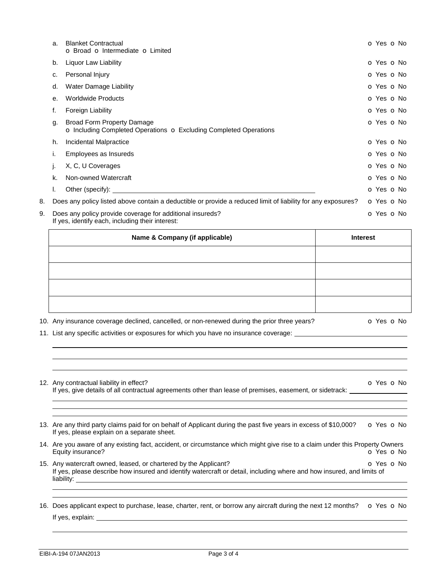|    | Name & Company (if applicable)                                                                                |                                                                                                                      |  | <b>Interest</b> |
|----|---------------------------------------------------------------------------------------------------------------|----------------------------------------------------------------------------------------------------------------------|--|-----------------|
| 9. | Does any policy provide coverage for additional insureds?<br>If yes, identify each, including their interest: |                                                                                                                      |  | O Yes O No      |
| 8. |                                                                                                               | Does any policy listed above contain a deductible or provide a reduced limit of liability for any exposures?         |  | O Yes O No      |
|    | ı.                                                                                                            | Other (specify):                                                                                                     |  | o Yes o No      |
|    | k.                                                                                                            | Non-owned Watercraft                                                                                                 |  | O Yes O No      |
|    | J.                                                                                                            | X, C, U Coverages                                                                                                    |  | o Yes o No      |
|    | i.                                                                                                            | Employees as Insureds                                                                                                |  | O Yes O No      |
|    | h.                                                                                                            | Incidental Malpractice                                                                                               |  | O Yes O No      |
|    | g.                                                                                                            | <b>Broad Form Property Damage</b><br><b>O</b> Including Completed Operations <b>O</b> Excluding Completed Operations |  | O Yes O No      |
|    | f.                                                                                                            | Foreign Liability                                                                                                    |  | o Yes o No      |
|    | е.                                                                                                            | <b>Worldwide Products</b>                                                                                            |  | O Yes O No      |
|    | d.                                                                                                            | <b>Water Damage Liability</b>                                                                                        |  | O Yes O No      |
|    | c.                                                                                                            | Personal Injury                                                                                                      |  | O Yes O No      |
|    | b.                                                                                                            | Liquor Law Liability                                                                                                 |  | O Yes O No      |
|    | a.                                                                                                            | <b>Blanket Contractual</b><br>o Broad o Intermediate o Limited                                                       |  | o Yes o No      |

| .                                                                                            |            |
|----------------------------------------------------------------------------------------------|------------|
|                                                                                              |            |
|                                                                                              |            |
|                                                                                              |            |
|                                                                                              |            |
| 10. Any insurance coverage declined, cancelled, or non-renewed during the prior three years? | o Yes o No |

11. List any specific activities or exposures for which you have no insurance coverage:

| 12. Any contractual liability in effect?<br>If yes, give details of all contractual agreements other than lease of premises, easement, or sidetrack:                                                                  | <b>O</b> Yes <b>O</b> No |  |
|-----------------------------------------------------------------------------------------------------------------------------------------------------------------------------------------------------------------------|--------------------------|--|
| 13. Are any third party claims paid for on behalf of Applicant during the past five years in excess of \$10,000?<br>If yes, please explain on a separate sheet.                                                       | O Yes O No               |  |
| 14. Are you aware of any existing fact, accident, or circumstance which might give rise to a claim under this Property Owners<br>Equity insurance?                                                                    | o Yes o No               |  |
| 15. Any watercraft owned, leased, or chartered by the Applicant?<br>o Yes o No<br>If yes, please describe how insured and identify watercraft or detail, including where and how insured, and limits of<br>liability: |                          |  |
| 16. Does applicant expect to purchase, lease, charter, rent, or borrow any aircraft during the next 12 months?                                                                                                        | o Yes o No               |  |

If yes, explain:

֦

l

֦